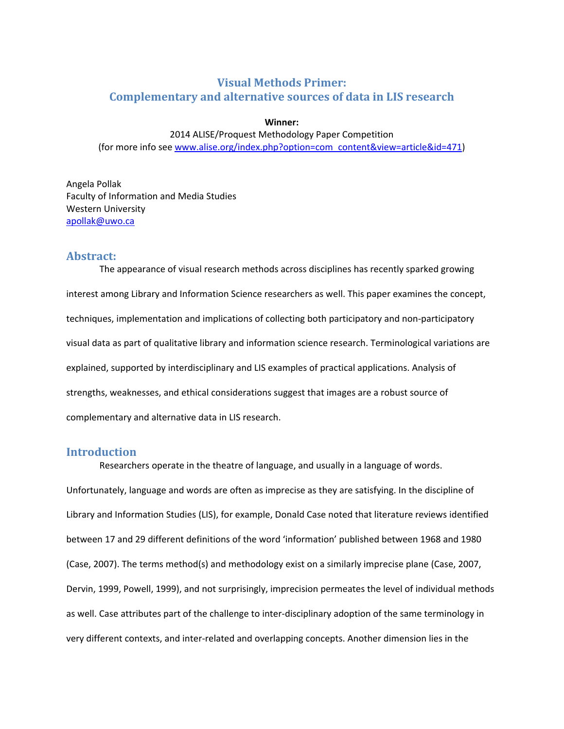# **Visual Methods Primer: Complementary and alternative sources of data in LIS research**

## **Winner:**

# 2014 ALISE/Proquest Methodology Paper Competition (for more info see www.alise.org/index.php?option=com\_content&view=article&id=471)

Angela Pollak Faculty of Information and Media Studies Western University apollak@uwo.ca

## **Abstract:**

The appearance of visual research methods across disciplines has recently sparked growing interest among Library and Information Science researchers as well. This paper examines the concept, techniques, implementation and implications of collecting both participatory and non‐participatory visual data as part of qualitative library and information science research. Terminological variations are explained, supported by interdisciplinary and LIS examples of practical applications. Analysis of strengths, weaknesses, and ethical considerations suggest that images are a robust source of complementary and alternative data in LIS research.

# **Introduction**

Researchers operate in the theatre of language, and usually in a language of words. Unfortunately, language and words are often as imprecise as they are satisfying. In the discipline of Library and Information Studies (LIS), for example, Donald Case noted that literature reviews identified between 17 and 29 different definitions of the word 'information' published between 1968 and 1980 (Case, 2007). The terms method(s) and methodology exist on a similarly imprecise plane (Case, 2007, Dervin, 1999, Powell, 1999), and not surprisingly, imprecision permeates the level of individual methods as well. Case attributes part of the challenge to inter‐disciplinary adoption of the same terminology in very different contexts, and inter‐related and overlapping concepts. Another dimension lies in the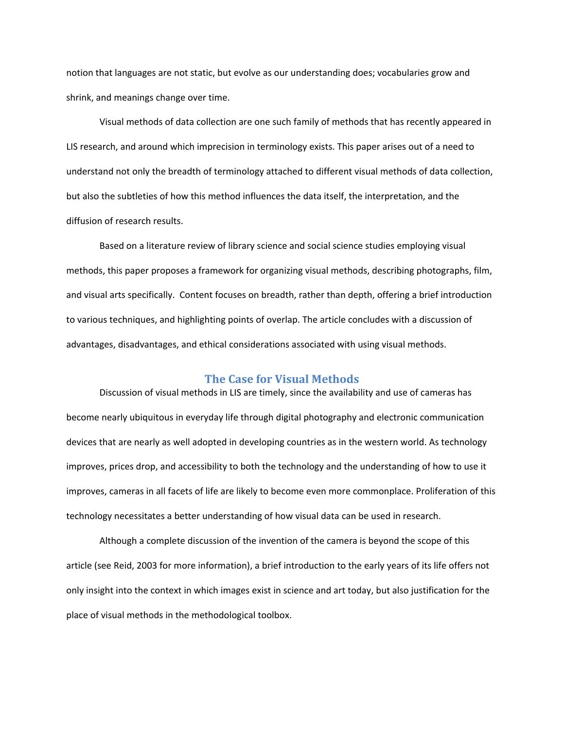notion that languages are not static, but evolve as our understanding does; vocabularies grow and shrink, and meanings change over time.

Visual methods of data collection are one such family of methods that has recently appeared in LIS research, and around which imprecision in terminology exists. This paper arises out of a need to understand not only the breadth of terminology attached to different visual methods of data collection, but also the subtleties of how this method influences the data itself, the interpretation, and the diffusion of research results.

Based on a literature review of library science and social science studies employing visual methods, this paper proposes a framework for organizing visual methods, describing photographs, film, and visual arts specifically. Content focuses on breadth, rather than depth, offering a brief introduction to various techniques, and highlighting points of overlap. The article concludes with a discussion of advantages, disadvantages, and ethical considerations associated with using visual methods.

## **The Case for Visual Methods**

Discussion of visual methods in LIS are timely, since the availability and use of cameras has become nearly ubiquitous in everyday life through digital photography and electronic communication devices that are nearly as well adopted in developing countries as in the western world. As technology improves, prices drop, and accessibility to both the technology and the understanding of how to use it improves, cameras in all facets of life are likely to become even more commonplace. Proliferation of this technology necessitates a better understanding of how visual data can be used in research.

Although a complete discussion of the invention of the camera is beyond the scope of this article (see Reid, 2003 for more information), a brief introduction to the early years of its life offers not only insight into the context in which images exist in science and art today, but also justification for the place of visual methods in the methodological toolbox.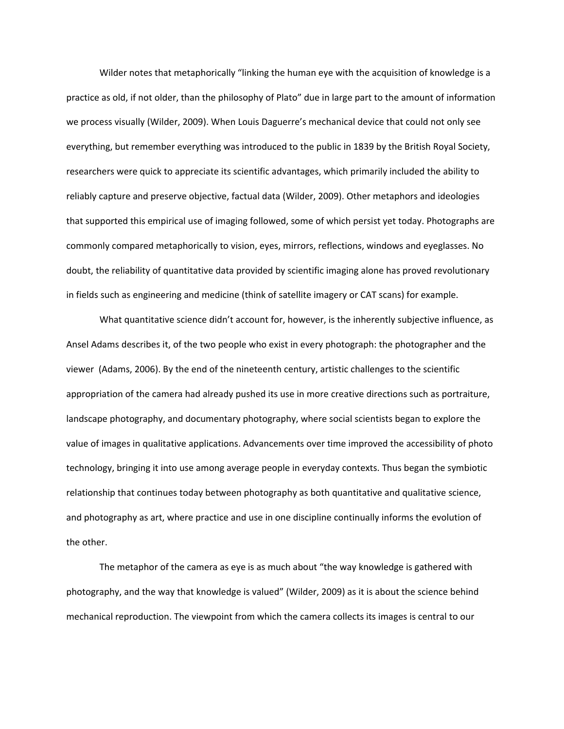Wilder notes that metaphorically "linking the human eye with the acquisition of knowledge is a practice as old, if not older, than the philosophy of Plato" due in large part to the amount of information we process visually (Wilder, 2009). When Louis Daguerre's mechanical device that could not only see everything, but remember everything was introduced to the public in 1839 by the British Royal Society, researchers were quick to appreciate its scientific advantages, which primarily included the ability to reliably capture and preserve objective, factual data (Wilder, 2009). Other metaphors and ideologies that supported this empirical use of imaging followed, some of which persist yet today. Photographs are commonly compared metaphorically to vision, eyes, mirrors, reflections, windows and eyeglasses. No doubt, the reliability of quantitative data provided by scientific imaging alone has proved revolutionary in fields such as engineering and medicine (think of satellite imagery or CAT scans) for example.

What quantitative science didn't account for, however, is the inherently subjective influence, as Ansel Adams describes it, of the two people who exist in every photograph: the photographer and the viewer (Adams, 2006). By the end of the nineteenth century, artistic challenges to the scientific appropriation of the camera had already pushed its use in more creative directions such as portraiture, landscape photography, and documentary photography, where social scientists began to explore the value of images in qualitative applications. Advancements over time improved the accessibility of photo technology, bringing it into use among average people in everyday contexts. Thus began the symbiotic relationship that continues today between photography as both quantitative and qualitative science, and photography as art, where practice and use in one discipline continually informs the evolution of the other.

The metaphor of the camera as eye is as much about "the way knowledge is gathered with photography, and the way that knowledge is valued" (Wilder, 2009) as it is about the science behind mechanical reproduction. The viewpoint from which the camera collects its images is central to our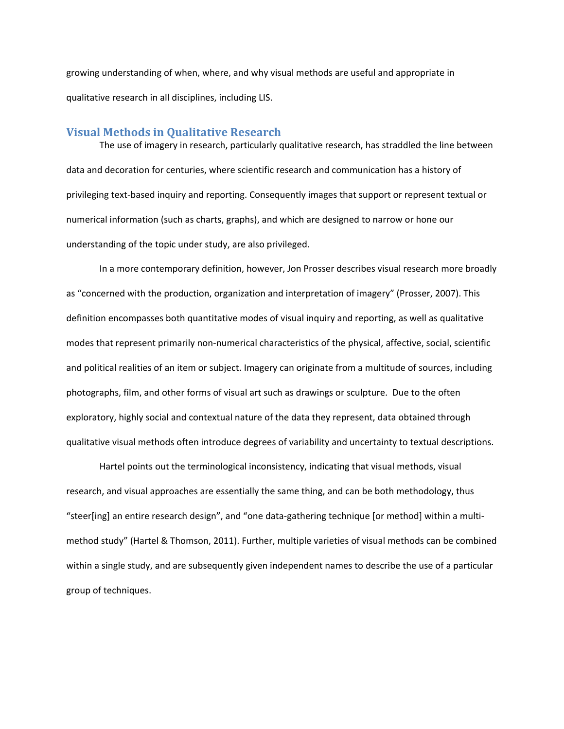growing understanding of when, where, and why visual methods are useful and appropriate in qualitative research in all disciplines, including LIS.

## **Visual Methods in Qualitative Research**

The use of imagery in research, particularly qualitative research, has straddled the line between data and decoration for centuries, where scientific research and communication has a history of privileging text‐based inquiry and reporting. Consequently images that support or represent textual or numerical information (such as charts, graphs), and which are designed to narrow or hone our understanding of the topic under study, are also privileged.

In a more contemporary definition, however, Jon Prosser describes visual research more broadly as "concerned with the production, organization and interpretation of imagery" (Prosser, 2007). This definition encompasses both quantitative modes of visual inquiry and reporting, as well as qualitative modes that represent primarily non‐numerical characteristics of the physical, affective, social, scientific and political realities of an item or subject. Imagery can originate from a multitude of sources, including photographs, film, and other forms of visual art such as drawings or sculpture. Due to the often exploratory, highly social and contextual nature of the data they represent, data obtained through qualitative visual methods often introduce degrees of variability and uncertainty to textual descriptions.

Hartel points out the terminological inconsistency, indicating that visual methods, visual research, and visual approaches are essentially the same thing, and can be both methodology, thus "steer[ing] an entire research design", and "one data‐gathering technique [or method] within a multi‐ method study" (Hartel & Thomson, 2011). Further, multiple varieties of visual methods can be combined within a single study, and are subsequently given independent names to describe the use of a particular group of techniques.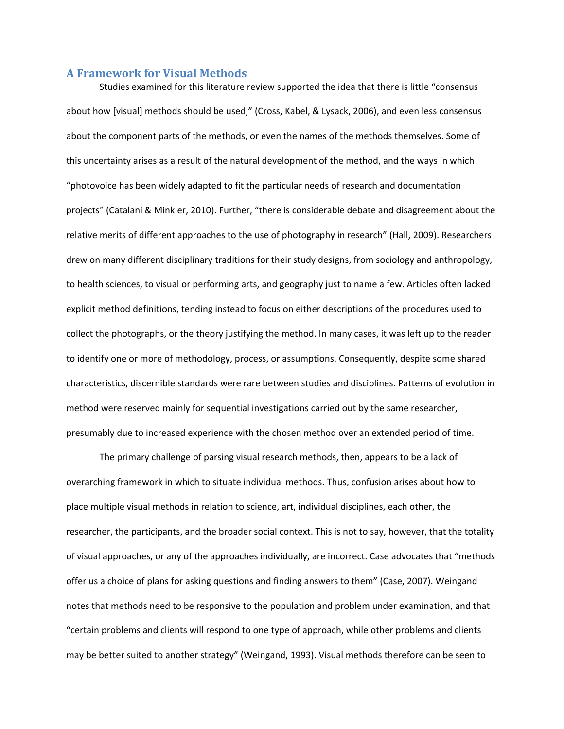## **A Framework for Visual Methods**

Studies examined for this literature review supported the idea that there is little "consensus about how [visual] methods should be used," (Cross, Kabel, & Lysack, 2006), and even less consensus about the component parts of the methods, or even the names of the methods themselves. Some of this uncertainty arises as a result of the natural development of the method, and the ways in which "photovoice has been widely adapted to fit the particular needs of research and documentation projects" (Catalani & Minkler, 2010). Further, "there is considerable debate and disagreement about the relative merits of different approaches to the use of photography in research" (Hall, 2009). Researchers drew on many different disciplinary traditions for their study designs, from sociology and anthropology, to health sciences, to visual or performing arts, and geography just to name a few. Articles often lacked explicit method definitions, tending instead to focus on either descriptions of the procedures used to collect the photographs, or the theory justifying the method. In many cases, it was left up to the reader to identify one or more of methodology, process, or assumptions. Consequently, despite some shared characteristics, discernible standards were rare between studies and disciplines. Patterns of evolution in method were reserved mainly for sequential investigations carried out by the same researcher, presumably due to increased experience with the chosen method over an extended period of time.

The primary challenge of parsing visual research methods, then, appears to be a lack of overarching framework in which to situate individual methods. Thus, confusion arises about how to place multiple visual methods in relation to science, art, individual disciplines, each other, the researcher, the participants, and the broader social context. This is not to say, however, that the totality of visual approaches, or any of the approaches individually, are incorrect. Case advocates that "methods offer us a choice of plans for asking questions and finding answers to them" (Case, 2007). Weingand notes that methods need to be responsive to the population and problem under examination, and that "certain problems and clients will respond to one type of approach, while other problems and clients may be better suited to another strategy" (Weingand, 1993). Visual methods therefore can be seen to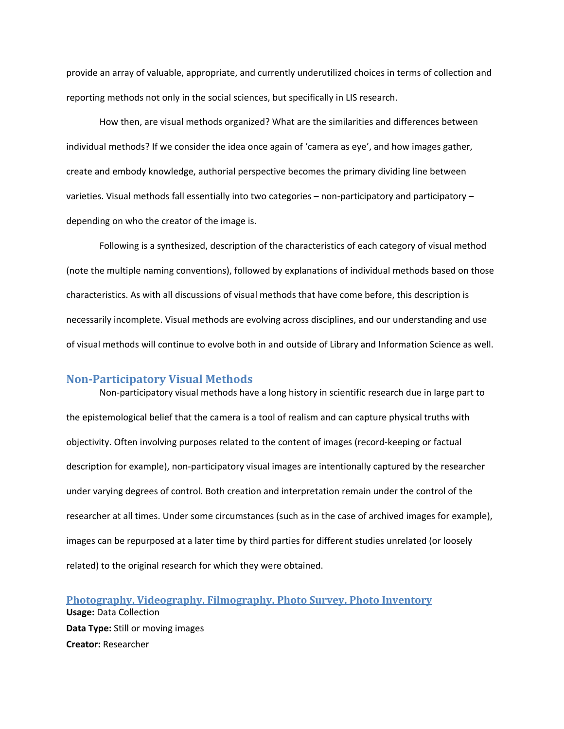provide an array of valuable, appropriate, and currently underutilized choices in terms of collection and reporting methods not only in the social sciences, but specifically in LIS research.

How then, are visual methods organized? What are the similarities and differences between individual methods? If we consider the idea once again of 'camera as eye', and how images gather, create and embody knowledge, authorial perspective becomes the primary dividing line between varieties. Visual methods fall essentially into two categories – non‐participatory and participatory – depending on who the creator of the image is.

Following is a synthesized, description of the characteristics of each category of visual method (note the multiple naming conventions), followed by explanations of individual methods based on those characteristics. As with all discussions of visual methods that have come before, this description is necessarily incomplete. Visual methods are evolving across disciplines, and our understanding and use of visual methods will continue to evolve both in and outside of Library and Information Science as well.

## **Non‐Participatory Visual Methods**

Non‐participatory visual methods have a long history in scientific research due in large part to the epistemological belief that the camera is a tool of realism and can capture physical truths with objectivity. Often involving purposes related to the content of images (record‐keeping or factual description for example), non‐participatory visual images are intentionally captured by the researcher under varying degrees of control. Both creation and interpretation remain under the control of the researcher at all times. Under some circumstances (such as in the case of archived images for example), images can be repurposed at a later time by third parties for different studies unrelated (or loosely related) to the original research for which they were obtained.

**Photography, Videography, Filmography, Photo Survey, Photo Inventory Usage:** Data Collection **Data Type:** Still or moving images **Creator:** Researcher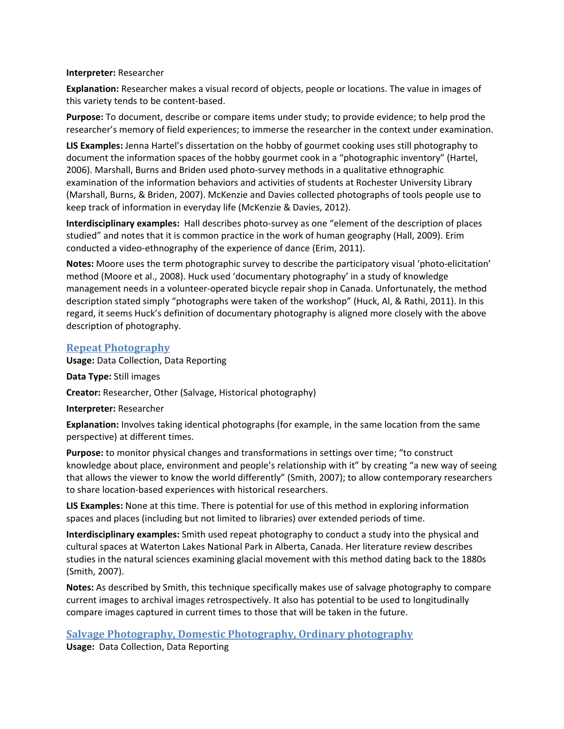## **Interpreter:** Researcher

**Explanation:** Researcher makes a visual record of objects, people or locations. The value in images of this variety tends to be content‐based.

**Purpose:** To document, describe or compare items under study; to provide evidence; to help prod the researcher's memory of field experiences; to immerse the researcher in the context under examination.

**LIS Examples:** Jenna Hartel's dissertation on the hobby of gourmet cooking uses still photography to document the information spaces of the hobby gourmet cook in a "photographic inventory" (Hartel, 2006). Marshall, Burns and Briden used photo‐survey methods in a qualitative ethnographic examination of the information behaviors and activities of students at Rochester University Library (Marshall, Burns, & Briden, 2007). McKenzie and Davies collected photographs of tools people use to keep track of information in everyday life (McKenzie & Davies, 2012).

**Interdisciplinary examples:** Hall describes photo‐survey as one "element of the description of places studied" and notes that it is common practice in the work of human geography (Hall, 2009). Erim conducted a video‐ethnography of the experience of dance (Erim, 2011).

**Notes:** Moore uses the term photographic survey to describe the participatory visual 'photo‐elicitation' method (Moore et al., 2008). Huck used 'documentary photography' in a study of knowledge management needs in a volunteer‐operated bicycle repair shop in Canada. Unfortunately, the method description stated simply "photographs were taken of the workshop" (Huck, Al, & Rathi, 2011). In this regard, it seems Huck's definition of documentary photography is aligned more closely with the above description of photography.

# **Repeat Photography**

**Usage:** Data Collection, Data Reporting

**Data Type:** Still images

**Creator:** Researcher, Other (Salvage, Historical photography)

**Interpreter:** Researcher

**Explanation:** Involves taking identical photographs (for example, in the same location from the same perspective) at different times.

**Purpose:** to monitor physical changes and transformations in settings over time; "to construct knowledge about place, environment and people's relationship with it" by creating "a new way of seeing that allows the viewer to know the world differently" (Smith, 2007); to allow contemporary researchers to share location‐based experiences with historical researchers.

**LIS Examples:** None at this time. There is potential for use of this method in exploring information spaces and places (including but not limited to libraries) over extended periods of time.

**Interdisciplinary examples:** Smith used repeat photography to conduct a study into the physical and cultural spaces at Waterton Lakes National Park in Alberta, Canada. Her literature review describes studies in the natural sciences examining glacial movement with this method dating back to the 1880s (Smith, 2007).

**Notes:** As described by Smith, this technique specifically makes use of salvage photography to compare current images to archival images retrospectively. It also has potential to be used to longitudinally compare images captured in current times to those that will be taken in the future.

# **Salvage Photography, Domestic Photography, Ordinary photography**

**Usage:** Data Collection, Data Reporting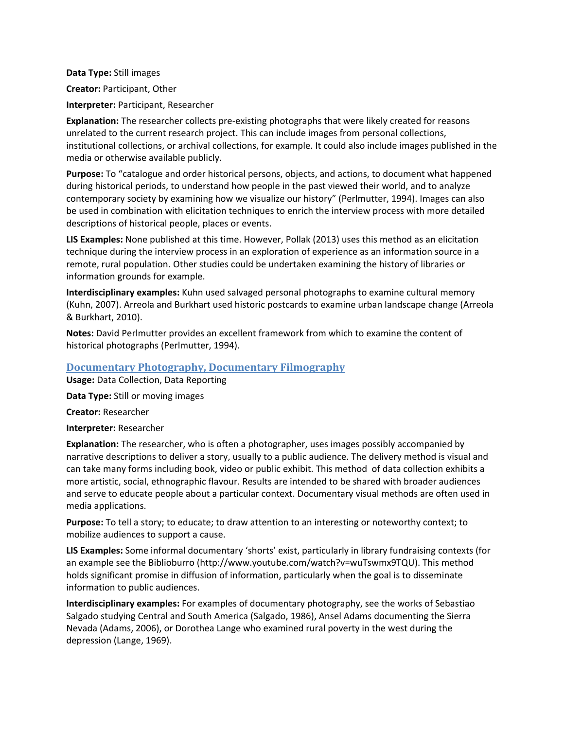**Data Type:** Still images **Creator:** Participant, Other **Interpreter:** Participant, Researcher

**Explanation:** The researcher collects pre‐existing photographs that were likely created for reasons unrelated to the current research project. This can include images from personal collections, institutional collections, or archival collections, for example. It could also include images published in the media or otherwise available publicly.

**Purpose:** To "catalogue and order historical persons, objects, and actions, to document what happened during historical periods, to understand how people in the past viewed their world, and to analyze contemporary society by examining how we visualize our history" (Perlmutter, 1994). Images can also be used in combination with elicitation techniques to enrich the interview process with more detailed descriptions of historical people, places or events.

**LIS Examples:** None published at this time. However, Pollak (2013) uses this method as an elicitation technique during the interview process in an exploration of experience as an information source in a remote, rural population. Other studies could be undertaken examining the history of libraries or information grounds for example.

**Interdisciplinary examples:** Kuhn used salvaged personal photographs to examine cultural memory (Kuhn, 2007). Arreola and Burkhart used historic postcards to examine urban landscape change (Arreola & Burkhart, 2010).

**Notes:** David Perlmutter provides an excellent framework from which to examine the content of historical photographs (Perlmutter, 1994).

# **Documentary Photography, Documentary Filmography**

**Usage:** Data Collection, Data Reporting

**Data Type:** Still or moving images

**Creator:** Researcher

**Interpreter:** Researcher

**Explanation:** The researcher, who is often a photographer, uses images possibly accompanied by narrative descriptions to deliver a story, usually to a public audience. The delivery method is visual and can take many forms including book, video or public exhibit. This method of data collection exhibits a more artistic, social, ethnographic flavour. Results are intended to be shared with broader audiences and serve to educate people about a particular context. Documentary visual methods are often used in media applications.

**Purpose:** To tell a story; to educate; to draw attention to an interesting or noteworthy context; to mobilize audiences to support a cause.

**LIS Examples:** Some informal documentary 'shorts' exist, particularly in library fundraising contexts (for an example see the Biblioburro (http://www.youtube.com/watch?v=wuTswmx9TQU). This method holds significant promise in diffusion of information, particularly when the goal is to disseminate information to public audiences.

**Interdisciplinary examples:** For examples of documentary photography, see the works of Sebastiao Salgado studying Central and South America (Salgado, 1986), Ansel Adams documenting the Sierra Nevada (Adams, 2006), or Dorothea Lange who examined rural poverty in the west during the depression (Lange, 1969).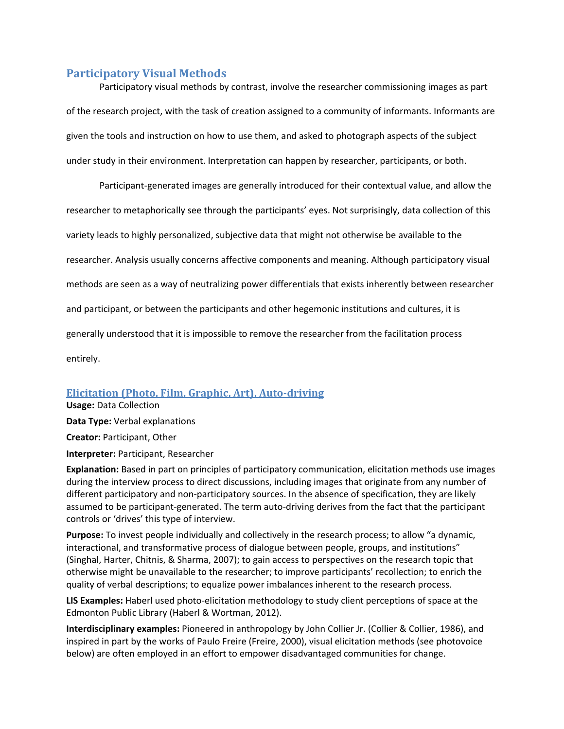# **Participatory Visual Methods**

Participatory visual methods by contrast, involve the researcher commissioning images as part of the research project, with the task of creation assigned to a community of informants. Informants are given the tools and instruction on how to use them, and asked to photograph aspects of the subject under study in their environment. Interpretation can happen by researcher, participants, or both.

Participant‐generated images are generally introduced for their contextual value, and allow the researcher to metaphorically see through the participants' eyes. Not surprisingly, data collection of this variety leads to highly personalized, subjective data that might not otherwise be available to the researcher. Analysis usually concerns affective components and meaning. Although participatory visual methods are seen as a way of neutralizing power differentials that exists inherently between researcher and participant, or between the participants and other hegemonic institutions and cultures, it is generally understood that it is impossible to remove the researcher from the facilitation process entirely.

# **Elicitation (Photo, Film, Graphic, Art), Auto‐driving**

**Usage:** Data Collection **Data Type:** Verbal explanations **Creator:** Participant, Other **Interpreter:** Participant, Researcher

**Explanation:** Based in part on principles of participatory communication, elicitation methods use images during the interview process to direct discussions, including images that originate from any number of different participatory and non‐participatory sources. In the absence of specification, they are likely assumed to be participant‐generated. The term auto‐driving derives from the fact that the participant controls or 'drives' this type of interview.

**Purpose:** To invest people individually and collectively in the research process; to allow "a dynamic, interactional, and transformative process of dialogue between people, groups, and institutions" (Singhal, Harter, Chitnis, & Sharma, 2007); to gain access to perspectives on the research topic that otherwise might be unavailable to the researcher; to improve participants' recollection; to enrich the quality of verbal descriptions; to equalize power imbalances inherent to the research process.

**LIS Examples:** Haberl used photo‐elicitation methodology to study client perceptions of space at the Edmonton Public Library (Haberl & Wortman, 2012).

**Interdisciplinary examples:** Pioneered in anthropology by John Collier Jr. (Collier & Collier, 1986), and inspired in part by the works of Paulo Freire (Freire, 2000), visual elicitation methods (see photovoice below) are often employed in an effort to empower disadvantaged communities for change.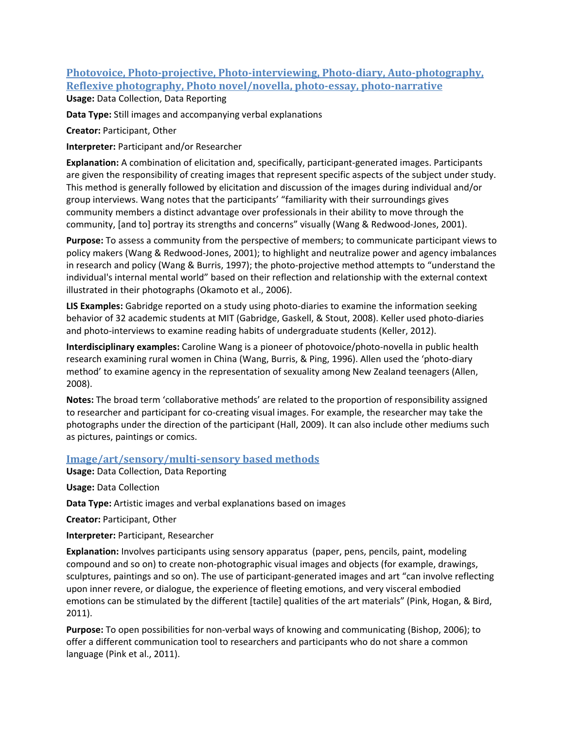# **Photovoice, Photo‐projective, Photo‐interviewing, Photo‐diary, Auto‐photography, Reflexive photography, Photo novel/novella, photo‐essay, photo‐narrative Usage:** Data Collection, Data Reporting

**Data Type:** Still images and accompanying verbal explanations

**Creator:** Participant, Other

**Interpreter:** Participant and/or Researcher

**Explanation:** A combination of elicitation and, specifically, participant‐generated images. Participants are given the responsibility of creating images that represent specific aspects of the subject under study. This method is generally followed by elicitation and discussion of the images during individual and/or group interviews. Wang notes that the participants' "familiarity with their surroundings gives community members a distinct advantage over professionals in their ability to move through the community, [and to] portray its strengths and concerns" visually (Wang & Redwood‐Jones, 2001).

**Purpose:** To assess a community from the perspective of members; to communicate participant views to policy makers (Wang & Redwood‐Jones, 2001); to highlight and neutralize power and agency imbalances in research and policy (Wang & Burris, 1997); the photo-projective method attempts to "understand the individual's internal mental world" based on their reflection and relationship with the external context illustrated in their photographs (Okamoto et al., 2006).

**LIS Examples:** Gabridge reported on a study using photo‐diaries to examine the information seeking behavior of 32 academic students at MIT (Gabridge, Gaskell, & Stout, 2008). Keller used photo‐diaries and photo-interviews to examine reading habits of undergraduate students (Keller, 2012).

**Interdisciplinary examples:** Caroline Wang is a pioneer of photovoice/photo‐novella in public health research examining rural women in China (Wang, Burris, & Ping, 1996). Allen used the 'photo‐diary method' to examine agency in the representation of sexuality among New Zealand teenagers (Allen, 2008).

**Notes:** The broad term 'collaborative methods' are related to the proportion of responsibility assigned to researcher and participant for co‐creating visual images. For example, the researcher may take the photographs under the direction of the participant (Hall, 2009). It can also include other mediums such as pictures, paintings or comics.

# **Image/art/sensory/multi‐sensory based methods**

**Usage:** Data Collection, Data Reporting

**Usage:** Data Collection

**Data Type:** Artistic images and verbal explanations based on images

**Creator:** Participant, Other

**Interpreter:** Participant, Researcher

**Explanation:** Involves participants using sensory apparatus (paper, pens, pencils, paint, modeling compound and so on) to create non‐photographic visual images and objects (for example, drawings, sculptures, paintings and so on). The use of participant‐generated images and art "can involve reflecting upon inner revere, or dialogue, the experience of fleeting emotions, and very visceral embodied emotions can be stimulated by the different [tactile] qualities of the art materials" (Pink, Hogan, & Bird, 2011).

**Purpose:** To open possibilities for non‐verbal ways of knowing and communicating (Bishop, 2006); to offer a different communication tool to researchers and participants who do not share a common language (Pink et al., 2011).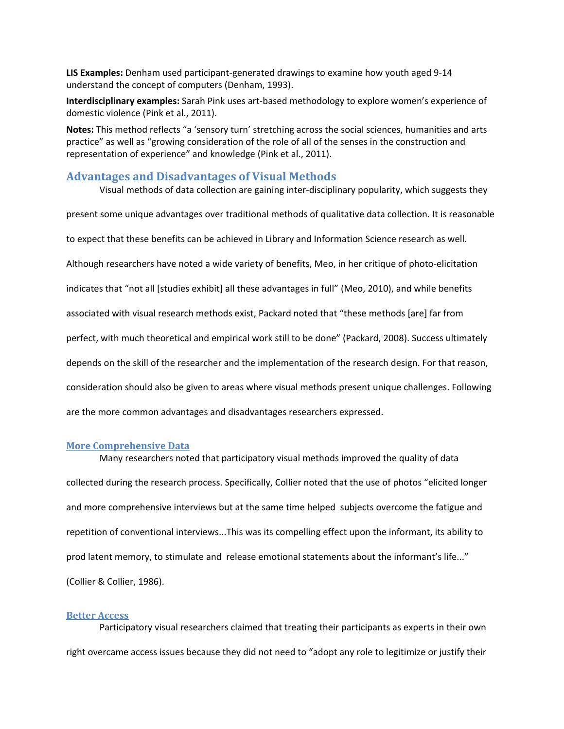**LIS Examples:** Denham used participant‐generated drawings to examine how youth aged 9‐14 understand the concept of computers (Denham, 1993).

**Interdisciplinary examples:** Sarah Pink uses art‐based methodology to explore women's experience of domestic violence (Pink et al., 2011).

**Notes:** This method reflects "a 'sensory turn' stretching across the social sciences, humanities and arts practice" as well as "growing consideration of the role of all of the senses in the construction and representation of experience" and knowledge (Pink et al., 2011).

## **Advantages and Disadvantages of Visual Methods**

Visual methods of data collection are gaining inter‐disciplinary popularity, which suggests they

present some unique advantages over traditional methods of qualitative data collection. It is reasonable to expect that these benefits can be achieved in Library and Information Science research as well. Although researchers have noted a wide variety of benefits, Meo, in her critique of photo‐elicitation indicates that "not all [studies exhibit] all these advantages in full" (Meo, 2010), and while benefits associated with visual research methods exist, Packard noted that "these methods [are] far from perfect, with much theoretical and empirical work still to be done" (Packard, 2008). Success ultimately depends on the skill of the researcher and the implementation of the research design. For that reason, consideration should also be given to areas where visual methods present unique challenges. Following are the more common advantages and disadvantages researchers expressed.

### **More Comprehensive Data**

Many researchers noted that participatory visual methods improved the quality of data collected during the research process. Specifically, Collier noted that the use of photos "elicited longer and more comprehensive interviews but at the same time helped subjects overcome the fatigue and repetition of conventional interviews...This was its compelling effect upon the informant, its ability to prod latent memory, to stimulate and release emotional statements about the informant's life..." (Collier & Collier, 1986).

#### **Better Access**

Participatory visual researchers claimed that treating their participants as experts in their own right overcame access issues because they did not need to "adopt any role to legitimize or justify their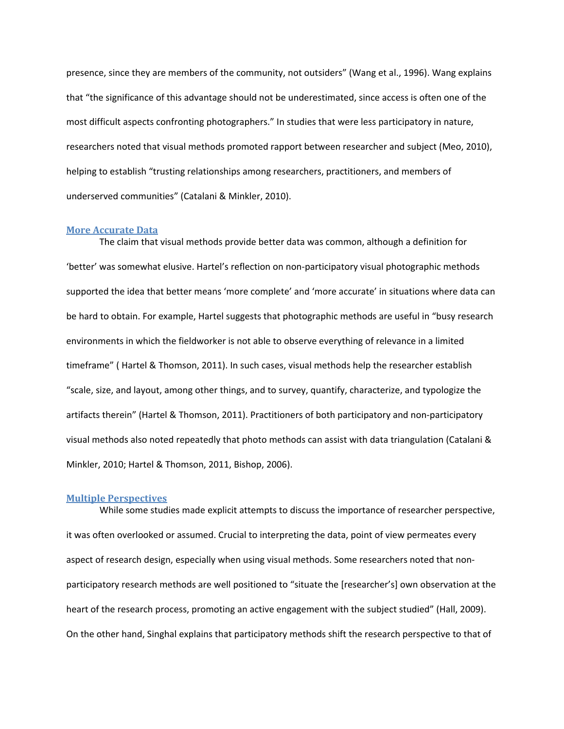presence, since they are members of the community, not outsiders" (Wang et al., 1996). Wang explains that "the significance of this advantage should not be underestimated, since access is often one of the most difficult aspects confronting photographers." In studies that were less participatory in nature, researchers noted that visual methods promoted rapport between researcher and subject (Meo, 2010), helping to establish "trusting relationships among researchers, practitioners, and members of underserved communities" (Catalani & Minkler, 2010).

#### **More Accurate Data**

The claim that visual methods provide better data was common, although a definition for 'better' was somewhat elusive. Hartel's reflection on non‐participatory visual photographic methods supported the idea that better means 'more complete' and 'more accurate' in situations where data can be hard to obtain. For example, Hartel suggests that photographic methods are useful in "busy research environments in which the fieldworker is not able to observe everything of relevance in a limited timeframe" ( Hartel & Thomson, 2011). In such cases, visual methods help the researcher establish "scale, size, and layout, among other things, and to survey, quantify, characterize, and typologize the artifacts therein" (Hartel & Thomson, 2011). Practitioners of both participatory and non‐participatory visual methods also noted repeatedly that photo methods can assist with data triangulation (Catalani & Minkler, 2010; Hartel & Thomson, 2011, Bishop, 2006).

#### **Multiple Perspectives**

While some studies made explicit attempts to discuss the importance of researcher perspective, it was often overlooked or assumed. Crucial to interpreting the data, point of view permeates every aspect of research design, especially when using visual methods. Some researchers noted that non‐ participatory research methods are well positioned to "situate the [researcher's] own observation at the heart of the research process, promoting an active engagement with the subject studied" (Hall, 2009). On the other hand, Singhal explains that participatory methods shift the research perspective to that of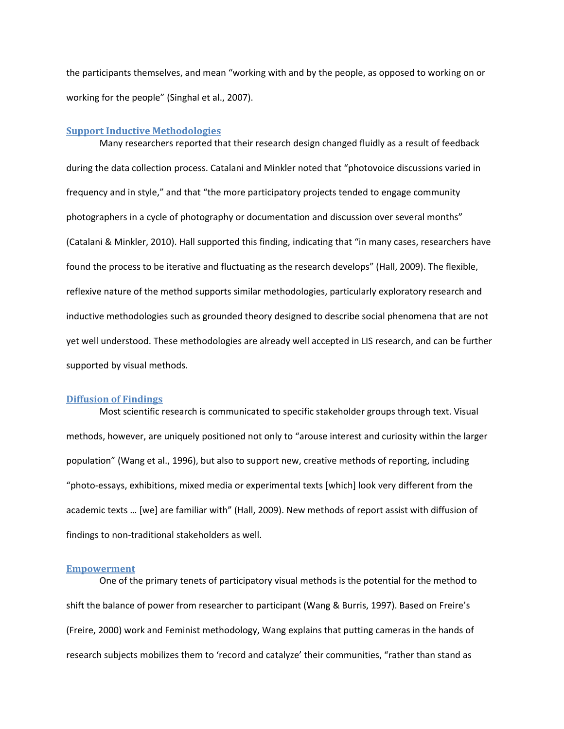the participants themselves, and mean "working with and by the people, as opposed to working on or working for the people" (Singhal et al., 2007).

#### **Support Inductive Methodologies**

Many researchers reported that their research design changed fluidly as a result of feedback during the data collection process. Catalani and Minkler noted that "photovoice discussions varied in frequency and in style," and that "the more participatory projects tended to engage community photographers in a cycle of photography or documentation and discussion over several months" (Catalani & Minkler, 2010). Hall supported this finding, indicating that "in many cases, researchers have found the process to be iterative and fluctuating as the research develops" (Hall, 2009). The flexible, reflexive nature of the method supports similar methodologies, particularly exploratory research and inductive methodologies such as grounded theory designed to describe social phenomena that are not yet well understood. These methodologies are already well accepted in LIS research, and can be further supported by visual methods.

### **Diffusion of Findings**

Most scientific research is communicated to specific stakeholder groups through text. Visual methods, however, are uniquely positioned not only to "arouse interest and curiosity within the larger population" (Wang et al., 1996), but also to support new, creative methods of reporting, including "photo‐essays, exhibitions, mixed media or experimental texts [which] look very different from the academic texts … [we] are familiar with" (Hall, 2009). New methods of report assist with diffusion of findings to non‐traditional stakeholders as well.

#### **Empowerment**

One of the primary tenets of participatory visual methods is the potential for the method to shift the balance of power from researcher to participant (Wang & Burris, 1997). Based on Freire's (Freire, 2000) work and Feminist methodology, Wang explains that putting cameras in the hands of research subjects mobilizes them to 'record and catalyze' their communities, "rather than stand as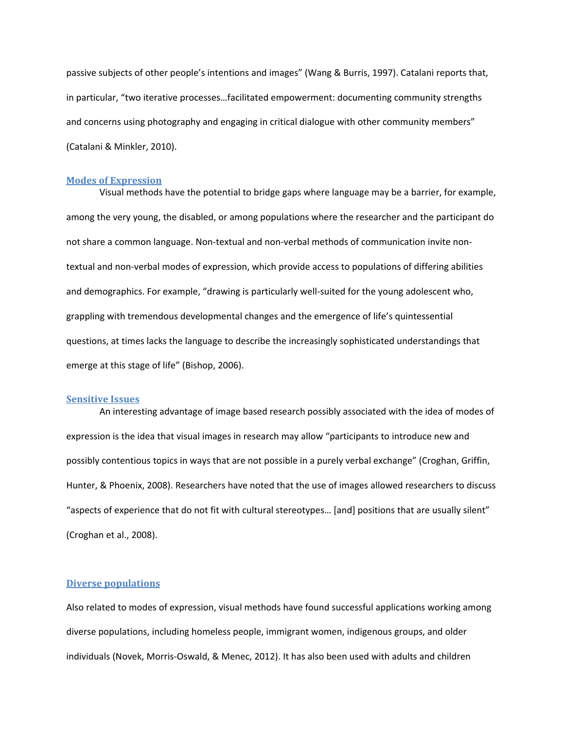passive subjects of other people's intentions and images" (Wang & Burris, 1997). Catalani reports that, in particular, "two iterative processes…facilitated empowerment: documenting community strengths and concerns using photography and engaging in critical dialogue with other community members" (Catalani & Minkler, 2010).

### **Modes of Expression**

Visual methods have the potential to bridge gaps where language may be a barrier, for example, among the very young, the disabled, or among populations where the researcher and the participant do not share a common language. Non-textual and non-verbal methods of communication invite nontextual and non‐verbal modes of expression, which provide access to populations of differing abilities and demographics. For example, "drawing is particularly well-suited for the young adolescent who, grappling with tremendous developmental changes and the emergence of life's quintessential questions, at times lacks the language to describe the increasingly sophisticated understandings that emerge at this stage of life" (Bishop, 2006).

### **Sensitive Issues**

An interesting advantage of image based research possibly associated with the idea of modes of expression is the idea that visual images in research may allow "participants to introduce new and possibly contentious topics in ways that are not possible in a purely verbal exchange" (Croghan, Griffin, Hunter, & Phoenix, 2008). Researchers have noted that the use of images allowed researchers to discuss "aspects of experience that do not fit with cultural stereotypes… [and] positions that are usually silent" (Croghan et al., 2008).

## **Diverse populations**

Also related to modes of expression, visual methods have found successful applications working among diverse populations, including homeless people, immigrant women, indigenous groups, and older individuals (Novek, Morris‐Oswald, & Menec, 2012). It has also been used with adults and children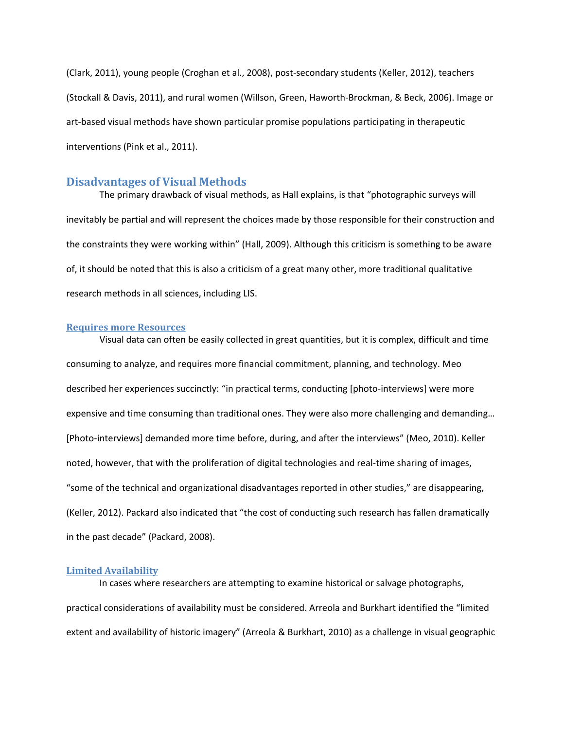(Clark, 2011), young people (Croghan et al., 2008), post‐secondary students (Keller, 2012), teachers (Stockall & Davis, 2011), and rural women (Willson, Green, Haworth‐Brockman, & Beck, 2006). Image or art-based visual methods have shown particular promise populations participating in therapeutic interventions (Pink et al., 2011).

## **Disadvantages of Visual Methods**

The primary drawback of visual methods, as Hall explains, is that "photographic surveys will inevitably be partial and will represent the choices made by those responsible for their construction and the constraints they were working within" (Hall, 2009). Although this criticism is something to be aware of, it should be noted that this is also a criticism of a great many other, more traditional qualitative research methods in all sciences, including LIS.

#### **Requires more Resources**

Visual data can often be easily collected in great quantities, but it is complex, difficult and time consuming to analyze, and requires more financial commitment, planning, and technology. Meo described her experiences succinctly: "in practical terms, conducting [photo-interviews] were more expensive and time consuming than traditional ones. They were also more challenging and demanding… [Photo-interviews] demanded more time before, during, and after the interviews" (Meo, 2010). Keller noted, however, that with the proliferation of digital technologies and real‐time sharing of images, "some of the technical and organizational disadvantages reported in other studies," are disappearing, (Keller, 2012). Packard also indicated that "the cost of conducting such research has fallen dramatically in the past decade" (Packard, 2008).

### **Limited Availability**

In cases where researchers are attempting to examine historical or salvage photographs, practical considerations of availability must be considered. Arreola and Burkhart identified the "limited extent and availability of historic imagery" (Arreola & Burkhart, 2010) as a challenge in visual geographic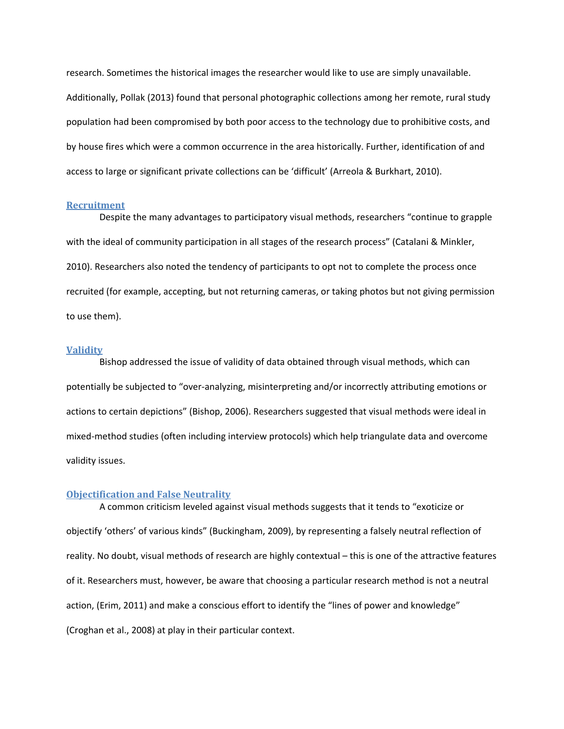research. Sometimes the historical images the researcher would like to use are simply unavailable. Additionally, Pollak (2013) found that personal photographic collections among her remote, rural study population had been compromised by both poor access to the technology due to prohibitive costs, and by house fires which were a common occurrence in the area historically. Further, identification of and access to large or significant private collections can be 'difficult' (Arreola & Burkhart, 2010).

### **Recruitment**

Despite the many advantages to participatory visual methods, researchers "continue to grapple with the ideal of community participation in all stages of the research process" (Catalani & Minkler, 2010). Researchers also noted the tendency of participants to opt not to complete the process once recruited (for example, accepting, but not returning cameras, or taking photos but not giving permission to use them).

### **Validity**

Bishop addressed the issue of validity of data obtained through visual methods, which can potentially be subjected to "over‐analyzing, misinterpreting and/or incorrectly attributing emotions or actions to certain depictions" (Bishop, 2006). Researchers suggested that visual methods were ideal in mixed‐method studies (often including interview protocols) which help triangulate data and overcome validity issues.

#### **Objectification and False Neutrality**

A common criticism leveled against visual methods suggests that it tends to "exoticize or objectify 'others' of various kinds" (Buckingham, 2009), by representing a falsely neutral reflection of reality. No doubt, visual methods of research are highly contextual – this is one of the attractive features of it. Researchers must, however, be aware that choosing a particular research method is not a neutral action, (Erim, 2011) and make a conscious effort to identify the "lines of power and knowledge" (Croghan et al., 2008) at play in their particular context.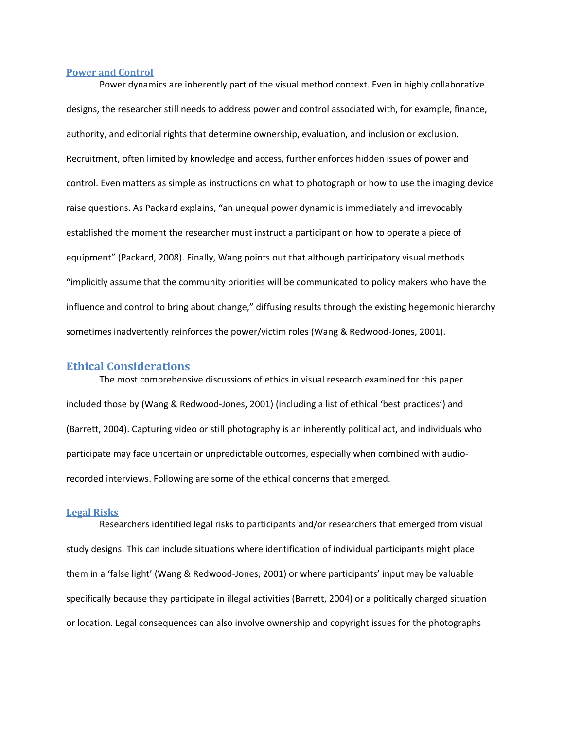#### **Power and Control**

Power dynamics are inherently part of the visual method context. Even in highly collaborative designs, the researcher still needs to address power and control associated with, for example, finance, authority, and editorial rights that determine ownership, evaluation, and inclusion or exclusion. Recruitment, often limited by knowledge and access, further enforces hidden issues of power and control. Even matters as simple as instructions on what to photograph or how to use the imaging device raise questions. As Packard explains, "an unequal power dynamic is immediately and irrevocably established the moment the researcher must instruct a participant on how to operate a piece of equipment" (Packard, 2008). Finally, Wang points out that although participatory visual methods "implicitly assume that the community priorities will be communicated to policy makers who have the influence and control to bring about change," diffusing results through the existing hegemonic hierarchy sometimes inadvertently reinforces the power/victim roles (Wang & Redwood-Jones, 2001).

### **Ethical Considerations**

The most comprehensive discussions of ethics in visual research examined for this paper included those by (Wang & Redwood‐Jones, 2001) (including a list of ethical 'best practices') and (Barrett, 2004). Capturing video or still photography is an inherently political act, and individuals who participate may face uncertain or unpredictable outcomes, especially when combined with audio‐ recorded interviews. Following are some of the ethical concerns that emerged.

#### **Legal Risks**

Researchers identified legal risks to participants and/or researchers that emerged from visual study designs. This can include situations where identification of individual participants might place them in a 'false light' (Wang & Redwood‐Jones, 2001) or where participants' input may be valuable specifically because they participate in illegal activities (Barrett, 2004) or a politically charged situation or location. Legal consequences can also involve ownership and copyright issues for the photographs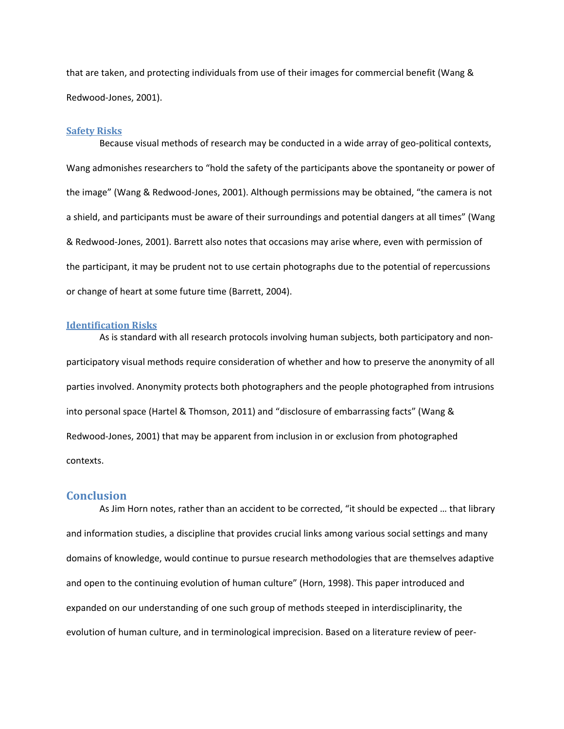that are taken, and protecting individuals from use of their images for commercial benefit (Wang & Redwood‐Jones, 2001).

### **Safety Risks**

Because visual methods of research may be conducted in a wide array of geo-political contexts, Wang admonishes researchers to "hold the safety of the participants above the spontaneity or power of the image" (Wang & Redwood‐Jones, 2001). Although permissions may be obtained, "the camera is not a shield, and participants must be aware of their surroundings and potential dangers at all times" (Wang & Redwood‐Jones, 2001). Barrett also notes that occasions may arise where, even with permission of the participant, it may be prudent not to use certain photographs due to the potential of repercussions or change of heart at some future time (Barrett, 2004).

### **Identification Risks**

As is standard with all research protocols involving human subjects, both participatory and non‐ participatory visual methods require consideration of whether and how to preserve the anonymity of all parties involved. Anonymity protects both photographers and the people photographed from intrusions into personal space (Hartel & Thomson, 2011) and "disclosure of embarrassing facts" (Wang & Redwood‐Jones, 2001) that may be apparent from inclusion in or exclusion from photographed contexts.

## **Conclusion**

As Jim Horn notes, rather than an accident to be corrected, "it should be expected … that library and information studies, a discipline that provides crucial links among various social settings and many domains of knowledge, would continue to pursue research methodologies that are themselves adaptive and open to the continuing evolution of human culture" (Horn, 1998). This paper introduced and expanded on our understanding of one such group of methods steeped in interdisciplinarity, the evolution of human culture, and in terminological imprecision. Based on a literature review of peer‐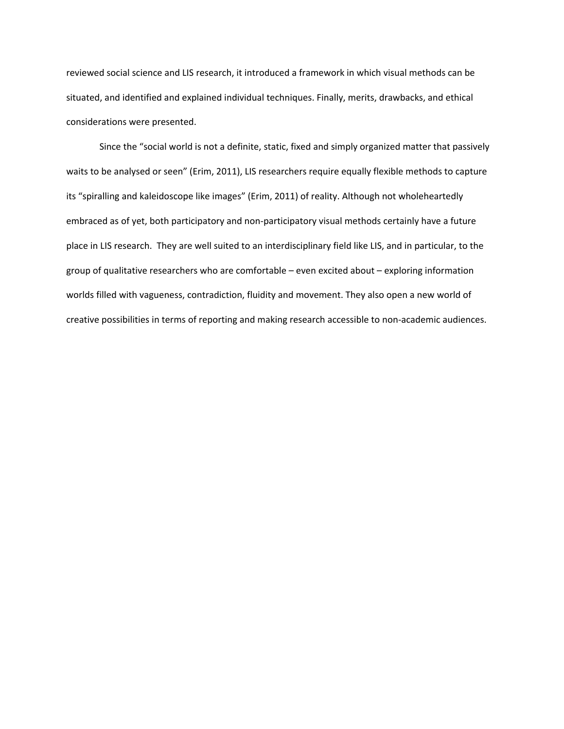reviewed social science and LIS research, it introduced a framework in which visual methods can be situated, and identified and explained individual techniques. Finally, merits, drawbacks, and ethical considerations were presented.

Since the "social world is not a definite, static, fixed and simply organized matter that passively waits to be analysed or seen" (Erim, 2011), LIS researchers require equally flexible methods to capture its "spiralling and kaleidoscope like images" (Erim, 2011) of reality. Although not wholeheartedly embraced as of yet, both participatory and non-participatory visual methods certainly have a future place in LIS research. They are well suited to an interdisciplinary field like LIS, and in particular, to the group of qualitative researchers who are comfortable – even excited about – exploring information worlds filled with vagueness, contradiction, fluidity and movement. They also open a new world of creative possibilities in terms of reporting and making research accessible to non‐academic audiences.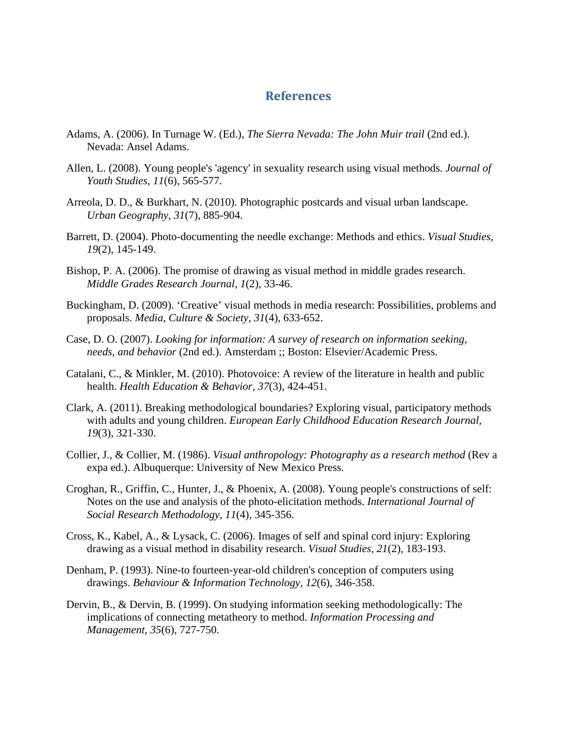# **References**

- Adams, A. (2006). In Turnage W. (Ed.), *The Sierra Nevada: The John Muir trail* (2nd ed.). Nevada: Ansel Adams.
- Allen, L. (2008). Young people's 'agency' in sexuality research using visual methods. *Journal of Youth Studies, 11*(6), 565-577.
- Arreola, D. D., & Burkhart, N. (2010). Photographic postcards and visual urban landscape. *Urban Geography, 31*(7), 885-904.
- Barrett, D. (2004). Photo-documenting the needle exchange: Methods and ethics. *Visual Studies, 19*(2), 145-149.
- Bishop, P. A. (2006). The promise of drawing as visual method in middle grades research. *Middle Grades Research Journal, 1*(2), 33-46.
- Buckingham, D. (2009). 'Creative' visual methods in media research: Possibilities, problems and proposals. *Media, Culture & Society, 31*(4), 633-652.
- Case, D. O. (2007). *Looking for information: A survey of research on information seeking, needs, and behavior* (2nd ed.). Amsterdam ;; Boston: Elsevier/Academic Press.
- Catalani, C., & Minkler, M. (2010). Photovoice: A review of the literature in health and public health. *Health Education & Behavior, 37*(3), 424-451.
- Clark, A. (2011). Breaking methodological boundaries? Exploring visual, participatory methods with adults and young children. *European Early Childhood Education Research Journal, 19*(3), 321-330.
- Collier, J., & Collier, M. (1986). *Visual anthropology: Photography as a research method* (Rev a expa ed.). Albuquerque: University of New Mexico Press.
- Croghan, R., Griffin, C., Hunter, J., & Phoenix, A. (2008). Young people's constructions of self: Notes on the use and analysis of the photo-elicitation methods. *International Journal of Social Research Methodology, 11*(4), 345-356.
- Cross, K., Kabel, A., & Lysack, C. (2006). Images of self and spinal cord injury: Exploring drawing as a visual method in disability research. *Visual Studies, 21*(2), 183-193.
- Denham, P. (1993). Nine-to fourteen-year-old children's conception of computers using drawings. *Behaviour & Information Technology, 12*(6), 346-358.
- Dervin, B., & Dervin, B. (1999). On studying information seeking methodologically: The implications of connecting metatheory to method. *Information Processing and Management, 35*(6), 727-750.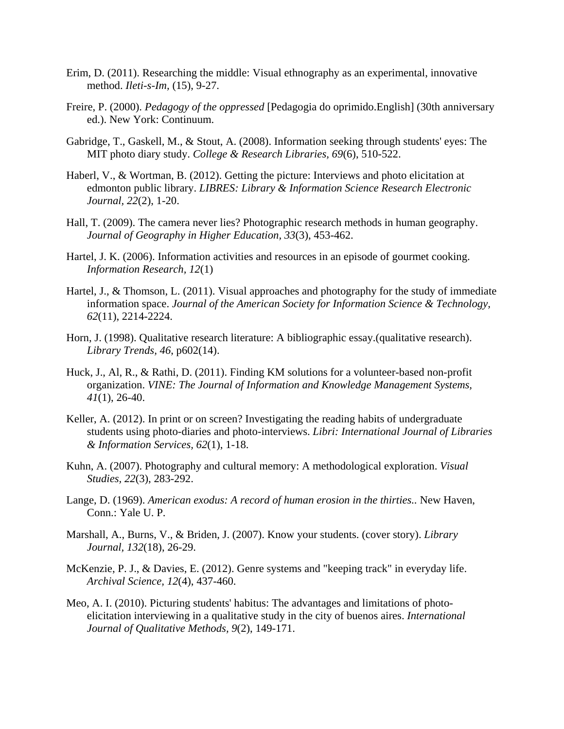- Erim, D. (2011). Researching the middle: Visual ethnography as an experimental, innovative method. *Ileti-s-Im,* (15), 9-27.
- Freire, P. (2000). *Pedagogy of the oppressed* [Pedagogia do oprimido.English] (30th anniversary ed.). New York: Continuum.
- Gabridge, T., Gaskell, M., & Stout, A. (2008). Information seeking through students' eyes: The MIT photo diary study. *College & Research Libraries, 69*(6), 510-522.
- Haberl, V., & Wortman, B. (2012). Getting the picture: Interviews and photo elicitation at edmonton public library. *LIBRES: Library & Information Science Research Electronic Journal, 22*(2), 1-20.
- Hall, T. (2009). The camera never lies? Photographic research methods in human geography. *Journal of Geography in Higher Education, 33*(3), 453-462.
- Hartel, J. K. (2006). Information activities and resources in an episode of gourmet cooking. *Information Research, 12*(1)
- Hartel, J., & Thomson, L. (2011). Visual approaches and photography for the study of immediate information space. *Journal of the American Society for Information Science & Technology, 62*(11), 2214-2224.
- Horn, J. (1998). Qualitative research literature: A bibliographic essay.(qualitative research). *Library Trends, 46*, p602(14).
- Huck, J., Al, R., & Rathi, D. (2011). Finding KM solutions for a volunteer-based non-profit organization. *VINE: The Journal of Information and Knowledge Management Systems, 41*(1), 26-40.
- Keller, A. (2012). In print or on screen? Investigating the reading habits of undergraduate students using photo-diaries and photo-interviews. *Libri: International Journal of Libraries & Information Services, 62*(1), 1-18.
- Kuhn, A. (2007). Photography and cultural memory: A methodological exploration. *Visual Studies, 22*(3), 283-292.
- Lange, D. (1969). *American exodus: A record of human erosion in the thirties..* New Haven, Conn.: Yale U. P.
- Marshall, A., Burns, V., & Briden, J. (2007). Know your students. (cover story). *Library Journal, 132*(18), 26-29.
- McKenzie, P. J., & Davies, E. (2012). Genre systems and "keeping track" in everyday life. *Archival Science, 12*(4), 437-460.
- Meo, A. I. (2010). Picturing students' habitus: The advantages and limitations of photoelicitation interviewing in a qualitative study in the city of buenos aires. *International Journal of Qualitative Methods, 9*(2), 149-171.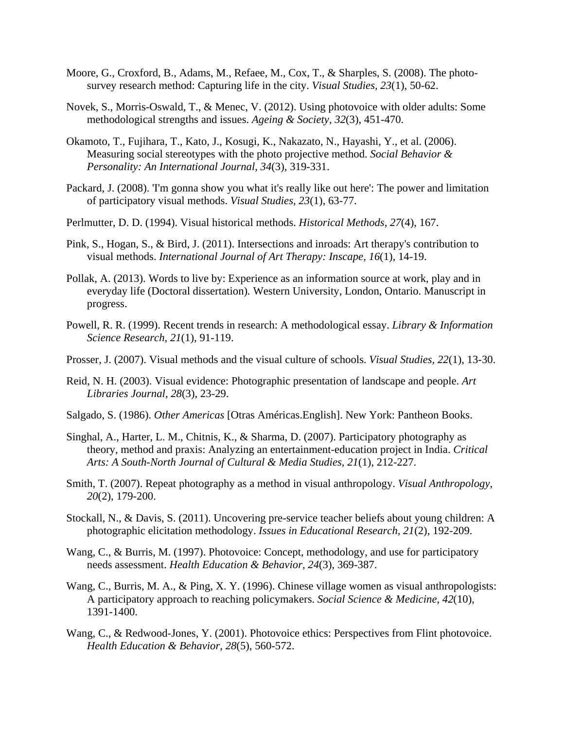- Moore, G., Croxford, B., Adams, M., Refaee, M., Cox, T., & Sharples, S. (2008). The photosurvey research method: Capturing life in the city. *Visual Studies, 23*(1), 50-62.
- Novek, S., Morris-Oswald, T., & Menec, V. (2012). Using photovoice with older adults: Some methodological strengths and issues. *Ageing & Society, 32*(3), 451-470.
- Okamoto, T., Fujihara, T., Kato, J., Kosugi, K., Nakazato, N., Hayashi, Y., et al. (2006). Measuring social stereotypes with the photo projective method. *Social Behavior & Personality: An International Journal, 34*(3), 319-331.
- Packard, J. (2008). 'I'm gonna show you what it's really like out here': The power and limitation of participatory visual methods. *Visual Studies, 23*(1), 63-77.
- Perlmutter, D. D. (1994). Visual historical methods. *Historical Methods, 27*(4), 167.
- Pink, S., Hogan, S., & Bird, J. (2011). Intersections and inroads: Art therapy's contribution to visual methods. *International Journal of Art Therapy: Inscape, 16*(1), 14-19.
- Pollak, A. (2013). Words to live by: Experience as an information source at work, play and in everyday life (Doctoral dissertation)*.* Western University, London, Ontario. Manuscript in progress.
- Powell, R. R. (1999). Recent trends in research: A methodological essay. *Library & Information Science Research, 21*(1), 91-119.
- Prosser, J. (2007). Visual methods and the visual culture of schools. *Visual Studies, 22*(1), 13-30.
- Reid, N. H. (2003). Visual evidence: Photographic presentation of landscape and people. *Art Libraries Journal, 28*(3), 23-29.
- Salgado, S. (1986). *Other Americas* [Otras Américas.English]. New York: Pantheon Books.
- Singhal, A., Harter, L. M., Chitnis, K., & Sharma, D. (2007). Participatory photography as theory, method and praxis: Analyzing an entertainment-education project in India. *Critical Arts: A South-North Journal of Cultural & Media Studies, 21*(1), 212-227.
- Smith, T. (2007). Repeat photography as a method in visual anthropology. *Visual Anthropology, 20*(2), 179-200.
- Stockall, N., & Davis, S. (2011). Uncovering pre-service teacher beliefs about young children: A photographic elicitation methodology. *Issues in Educational Research, 21*(2), 192-209.
- Wang, C., & Burris, M. (1997). Photovoice: Concept, methodology, and use for participatory needs assessment. *Health Education & Behavior, 24*(3), 369-387.
- Wang, C., Burris, M. A., & Ping, X. Y. (1996). Chinese village women as visual anthropologists: A participatory approach to reaching policymakers. *Social Science & Medicine, 42*(10), 1391-1400.
- Wang, C., & Redwood-Jones, Y. (2001). Photovoice ethics: Perspectives from Flint photovoice. *Health Education & Behavior, 28*(5), 560-572.